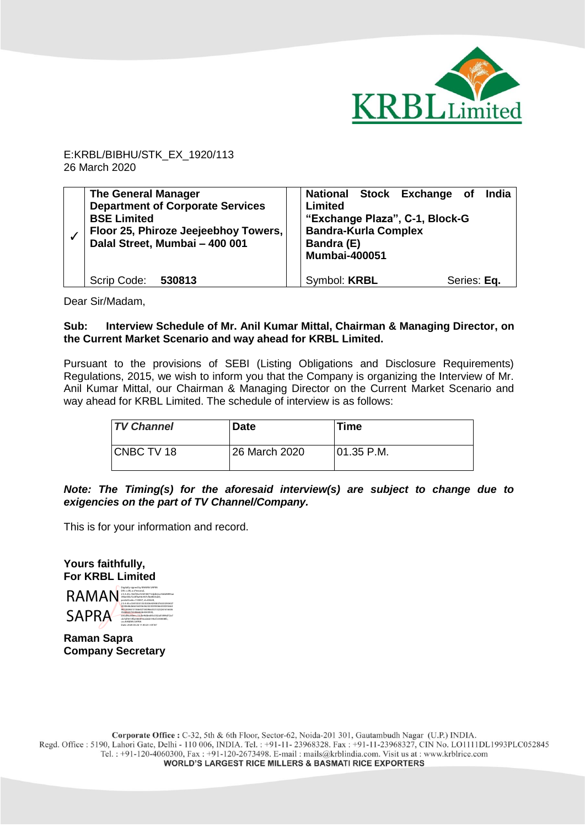

E:KRBL/BIBHU/STK\_EX\_1920/113 26 March 2020

| <b>The General Manager</b><br><b>Department of Corporate Services</b><br><b>BSE Limited</b><br>Floor 25, Phiroze Jeejeebhoy Towers,<br>Dalal Street, Mumbai - 400 001 | National Stock Exchange of<br><b>India</b><br>Limited<br>"Exchange Plaza", C-1, Block-G<br><b>Bandra-Kurla Complex</b><br>Bandra (E)<br><b>Mumbai-400051</b> |
|-----------------------------------------------------------------------------------------------------------------------------------------------------------------------|--------------------------------------------------------------------------------------------------------------------------------------------------------------|
| Scrip Code:<br>530813                                                                                                                                                 | Symbol: KRBL<br>Series: Eq.                                                                                                                                  |

Dear Sir/Madam,

## **Sub: Interview Schedule of Mr. Anil Kumar Mittal, Chairman & Managing Director, on the Current Market Scenario and way ahead for KRBL Limited.**

Pursuant to the provisions of SEBI (Listing Obligations and Disclosure Requirements) Regulations, 2015, we wish to inform you that the Company is organizing the Interview of Mr. Anil Kumar Mittal, our Chairman & Managing Director on the Current Market Scenario and way ahead for KRBL Limited. The schedule of interview is as follows:

| <b>TV Channel</b> | <b>Date</b>   | Time           |
|-------------------|---------------|----------------|
| CNBC TV 18        | 26 March 2020 | $ 01.35 $ P.M. |

*Note: The Timing(s) for the aforesaid interview(s) are subject to change due to exigencies on the part of TV Channel/Company.*

This is for your information and record.

**Yours faithfully, For KRBL Limited**



**Raman Sapra Company Secretary**